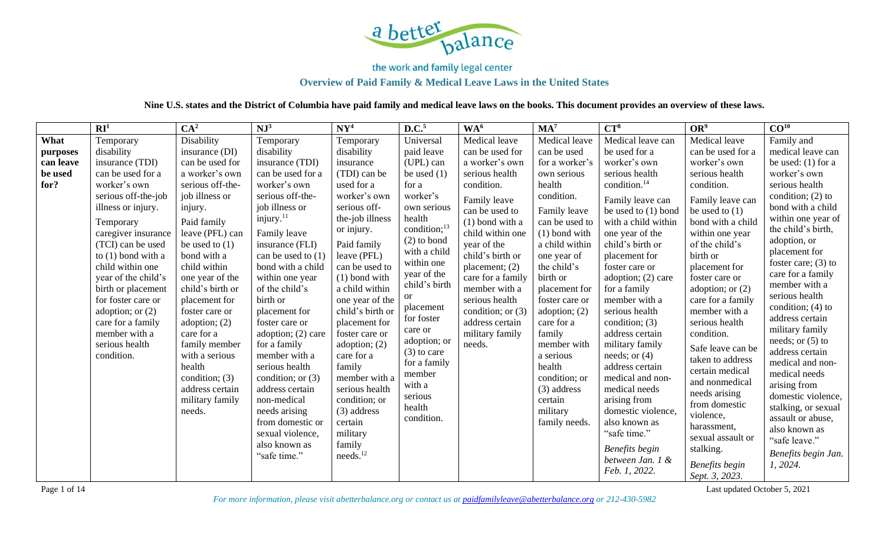

# **Overview of Paid Family & Medical Leave Laws in the United States**

**Nine U.S. states and the District of Columbia have paid family and medical leave laws on the books. This document provides an overview of these laws.**

|           | $\mathbf{R}$ <sup>1</sup> | CA <sup>2</sup>  | $NJ^3$                | $\mathbf{N}\mathbf{Y}^4$ | D.C. <sup>5</sup>        | WA <sup>6</sup>     | MA <sup>7</sup> | $CT^8$                   | OR <sup>9</sup>   | CO <sup>10</sup>                      |
|-----------|---------------------------|------------------|-----------------------|--------------------------|--------------------------|---------------------|-----------------|--------------------------|-------------------|---------------------------------------|
| What      | Temporary                 | Disability       | Temporary             | Temporary                | Universal                | Medical leave       | Medical leave   | Medical leave can        | Medical leave     | Family and                            |
| purposes  | disability                | insurance (DI)   | disability            | disability               | paid leave               | can be used for     | can be used     | be used for a            | can be used for a | medical leave can                     |
| can leave | insurance (TDI)           | can be used for  | insurance (TDI)       | insurance                | (UPL) can                | a worker's own      | for a worker's  | worker's own             | worker's own      | be used: $(1)$ for a                  |
| be used   | can be used for a         | a worker's own   | can be used for a     | (TDI) can be             | be used $(1)$            | serious health      | own serious     | serious health           | serious health    | worker's own                          |
| for?      | worker's own              | serious off-the- | worker's own          | used for a               | for a                    | condition.          | health          | condition. <sup>14</sup> | condition.        | serious health                        |
|           | serious off-the-job       | job illness or   | serious off-the-      | worker's own             | worker's                 | Family leave        | condition.      | Family leave can         | Family leave can  | condition; $(2)$ to                   |
|           | illness or injury.        | injury.          | job illness or        | serious off-             | own serious              | can be used to      | Family leave    | be used to $(1)$ bond    | be used to $(1)$  | bond with a child                     |
|           | Temporary                 | Paid family      | injury. <sup>11</sup> | the-job illness          | health                   | $(1)$ bond with a   | can be used to  | with a child within      | bond with a child | within one year of                    |
|           | caregiver insurance       | leave (PFL) can  | Family leave          | or injury.               | condition; <sup>13</sup> | child within one    | $(1)$ bond with | one year of the          | within one year   | the child's birth,                    |
|           | (TCI) can be used         | be used to $(1)$ | insurance (FLI)       | Paid family              | $(2)$ to bond            | year of the         | a child within  | child's birth or         | of the child's    | adoption, or                          |
|           | to $(1)$ bond with a      | bond with a      | can be used to $(1)$  | leave (PFL)              | with a child             | child's birth or    | one year of     | placement for            | birth or          | placement for                         |
|           | child within one          | child within     | bond with a child     | can be used to           | within one               | placement; $(2)$    | the child's     | foster care or           | placement for     | foster care; $(3)$ to                 |
|           | year of the child's       | one year of the  | within one year       | $(1)$ bond with          | year of the              | care for a family   | birth or        | adoption; $(2)$ care     | foster care or    | care for a family                     |
|           | birth or placement        | child's birth or | of the child's        | a child within           | child's birth            | member with a       | placement for   | for a family             | adoption; or (2)  | member with a                         |
|           | for foster care or        | placement for    | birth or              | one year of the          | <b>or</b>                | serious health      | foster care or  | member with a            | care for a family | serious health                        |
|           | adoption; or $(2)$        | foster care or   | placement for         | child's birth or         | placement                | condition; or $(3)$ | adoption; $(2)$ | serious health           | member with a     | condition; $(4)$ to                   |
|           | care for a family         | adoption; $(2)$  | foster care or        | placement for            | for foster               | address certain     | care for a      | condition; $(3)$         | serious health    | address certain                       |
|           | member with a             | care for a       | adoption; $(2)$ care  | foster care or           | care or<br>adoption; or  | military family     | family          | address certain          | condition.        | military family<br>needs; or $(5)$ to |
|           | serious health            | family member    | for a family          | adoption; $(2)$          | $(3)$ to care            | needs.              | member with     | military family          | Safe leave can be | address certain                       |
|           | condition.                | with a serious   | member with a         | care for a               | for a family             |                     | a serious       | needs; or $(4)$          | taken to address  | medical and non-                      |
|           |                           | health           | serious health        | family                   | member                   |                     | health          | address certain          | certain medical   | medical needs                         |
|           |                           | condition; (3)   | condition; or $(3)$   | member with a            | with a                   |                     | condition; or   | medical and non-         | and nonmedical    | arising from                          |
|           |                           | address certain  | address certain       | serious health           | serious                  |                     | (3) address     | medical needs            | needs arising     | domestic violence,                    |
|           |                           | military family  | non-medical           | condition; or            | health                   |                     | certain         | arising from             | from domestic     | stalking, or sexual                   |
|           |                           | needs.           | needs arising         | (3) address              | condition.               |                     | military        | domestic violence,       | violence,         | assault or abuse,                     |
|           |                           |                  | from domestic or      | certain                  |                          |                     | family needs.   | also known as            | harassment,       | also known as                         |
|           |                           |                  | sexual violence,      | military                 |                          |                     |                 | "safe time."             | sexual assault or | "safe leave."                         |
|           |                           |                  | also known as         | family                   |                          |                     |                 | Benefits begin           | stalking.         | Benefits begin Jan.                   |
|           |                           |                  | "safe time."          | needs. <sup>12</sup>     |                          |                     |                 | between Jan. 1 &         | Benefits begin    | 1, 2024.                              |
|           |                           |                  |                       |                          |                          |                     |                 | Feb. 1, 2022.            | Sept. 3, 2023.    |                                       |

Page 1 of 14 Last updated October 5, 2021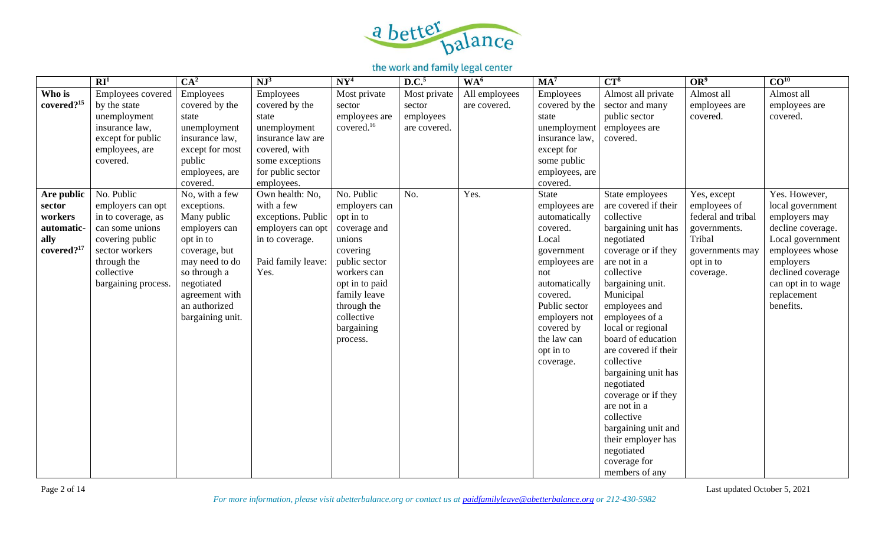

|                                                                                 | $\overline{\mathbb{R}I^1}$                                                                                                                                        | CA <sup>2</sup>                                                                                                                                                                                    | $NJ^3$                                                                                                                                           | NY <sup>4</sup>                                                                                                                                                                                         | D.C. <sup>5</sup>                                   | WA <sup>6</sup>               | MA <sup>7</sup>                                                                                                                                                                                                          | $CT^8$                                                                                                                                                                                                                                                                                                                                                                                                                                                                                      | OR <sup>9</sup>                                                                                                          | CO <sup>10</sup>                                                                                                                                                                                   |
|---------------------------------------------------------------------------------|-------------------------------------------------------------------------------------------------------------------------------------------------------------------|----------------------------------------------------------------------------------------------------------------------------------------------------------------------------------------------------|--------------------------------------------------------------------------------------------------------------------------------------------------|---------------------------------------------------------------------------------------------------------------------------------------------------------------------------------------------------------|-----------------------------------------------------|-------------------------------|--------------------------------------------------------------------------------------------------------------------------------------------------------------------------------------------------------------------------|---------------------------------------------------------------------------------------------------------------------------------------------------------------------------------------------------------------------------------------------------------------------------------------------------------------------------------------------------------------------------------------------------------------------------------------------------------------------------------------------|--------------------------------------------------------------------------------------------------------------------------|----------------------------------------------------------------------------------------------------------------------------------------------------------------------------------------------------|
| Who is<br>covered? <sup>15</sup>                                                | Employees covered<br>by the state<br>unemployment<br>insurance law,<br>except for public<br>employees, are<br>covered.                                            | Employees<br>covered by the<br>state<br>unemployment<br>insurance law,<br>except for most<br>public<br>employees, are<br>covered.                                                                  | Employees<br>covered by the<br>state<br>unemployment<br>insurance law are<br>covered, with<br>some exceptions<br>for public sector<br>employees. | Most private<br>sector<br>employees are<br>covered. <sup>16</sup>                                                                                                                                       | Most private<br>sector<br>employees<br>are covered. | All employees<br>are covered. | Employees<br>covered by the<br>state<br>unemployment<br>insurance law,<br>except for<br>some public<br>employees, are<br>covered.                                                                                        | Almost all private<br>sector and many<br>public sector<br>employees are<br>covered.                                                                                                                                                                                                                                                                                                                                                                                                         | Almost all<br>employees are<br>covered.                                                                                  | Almost all<br>employees are<br>covered.                                                                                                                                                            |
| Are public<br>sector<br>workers<br>automatic-<br>ally<br>covered? <sup>17</sup> | No. Public<br>employers can opt<br>in to coverage, as<br>can some unions<br>covering public<br>sector workers<br>through the<br>collective<br>bargaining process. | No, with a few<br>exceptions.<br>Many public<br>employers can<br>opt in to<br>coverage, but<br>may need to do<br>so through a<br>negotiated<br>agreement with<br>an authorized<br>bargaining unit. | Own health: No,<br>with a few<br>exceptions. Public<br>employers can opt<br>in to coverage.<br>Paid family leave:<br>Yes.                        | No. Public<br>employers can<br>opt in to<br>coverage and<br>unions<br>covering<br>public sector<br>workers can<br>opt in to paid<br>family leave<br>through the<br>collective<br>bargaining<br>process. | No.                                                 | Yes.                          | State<br>employees are<br>automatically<br>covered.<br>Local<br>government<br>employees are<br>not<br>automatically<br>covered.<br>Public sector<br>employers not<br>covered by<br>the law can<br>opt in to<br>coverage. | State employees<br>are covered if their<br>collective<br>bargaining unit has<br>negotiated<br>coverage or if they<br>are not in a<br>collective<br>bargaining unit.<br>Municipal<br>employees and<br>employees of a<br>local or regional<br>board of education<br>are covered if their<br>collective<br>bargaining unit has<br>negotiated<br>coverage or if they<br>are not in a<br>collective<br>bargaining unit and<br>their employer has<br>negotiated<br>coverage for<br>members of any | Yes, except<br>employees of<br>federal and tribal<br>governments.<br>Tribal<br>governments may<br>opt in to<br>coverage. | Yes. However,<br>local government<br>employers may<br>decline coverage.<br>Local government<br>employees whose<br>employers<br>declined coverage<br>can opt in to wage<br>replacement<br>benefits. |

Page 2 of 14 Last updated October 5, 2021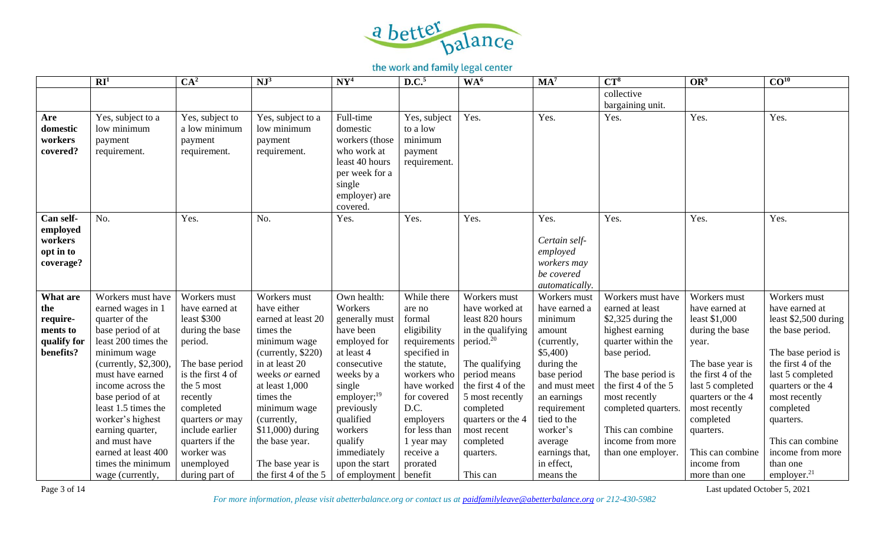

|                                                                     | $\mathbf{R} \mathbf{I}^1$                                                                                                                                                                                                                                                                                                                                     | CA <sup>2</sup>                                                                                                                                                                                                                                                   | NJ <sup>3</sup>                                                                                                                                                                                                                                                                           | NY <sup>4</sup>                                                                                                                                                                                                                                    | D.C. <sup>5</sup>                                                                                                                                                                                                                   | WA <sup>6</sup>                                                                                                                                                                                                                                                   | MA <sup>7</sup>                                                                                                                                                                                                                             | $CT^8$                                                                                                                                                                                                                                                                  | OR <sup>9</sup>                                                                                                                                                                                                                                               | CO <sup>10</sup>                                                                                                                                                                                                                                                                    |
|---------------------------------------------------------------------|---------------------------------------------------------------------------------------------------------------------------------------------------------------------------------------------------------------------------------------------------------------------------------------------------------------------------------------------------------------|-------------------------------------------------------------------------------------------------------------------------------------------------------------------------------------------------------------------------------------------------------------------|-------------------------------------------------------------------------------------------------------------------------------------------------------------------------------------------------------------------------------------------------------------------------------------------|----------------------------------------------------------------------------------------------------------------------------------------------------------------------------------------------------------------------------------------------------|-------------------------------------------------------------------------------------------------------------------------------------------------------------------------------------------------------------------------------------|-------------------------------------------------------------------------------------------------------------------------------------------------------------------------------------------------------------------------------------------------------------------|---------------------------------------------------------------------------------------------------------------------------------------------------------------------------------------------------------------------------------------------|-------------------------------------------------------------------------------------------------------------------------------------------------------------------------------------------------------------------------------------------------------------------------|---------------------------------------------------------------------------------------------------------------------------------------------------------------------------------------------------------------------------------------------------------------|-------------------------------------------------------------------------------------------------------------------------------------------------------------------------------------------------------------------------------------------------------------------------------------|
|                                                                     |                                                                                                                                                                                                                                                                                                                                                               |                                                                                                                                                                                                                                                                   |                                                                                                                                                                                                                                                                                           |                                                                                                                                                                                                                                                    |                                                                                                                                                                                                                                     |                                                                                                                                                                                                                                                                   |                                                                                                                                                                                                                                             | collective<br>bargaining unit.                                                                                                                                                                                                                                          |                                                                                                                                                                                                                                                               |                                                                                                                                                                                                                                                                                     |
| Are<br>domestic<br>workers<br>covered?                              | Yes, subject to a<br>low minimum<br>payment<br>requirement.                                                                                                                                                                                                                                                                                                   | Yes, subject to<br>a low minimum<br>payment<br>requirement.                                                                                                                                                                                                       | Yes, subject to a<br>low minimum<br>payment<br>requirement.                                                                                                                                                                                                                               | Full-time<br>domestic<br>workers (those<br>who work at<br>least 40 hours<br>per week for a<br>single<br>employer) are<br>covered.                                                                                                                  | Yes, subject<br>to a low<br>minimum<br>payment<br>requirement.                                                                                                                                                                      | Yes.                                                                                                                                                                                                                                                              | Yes.                                                                                                                                                                                                                                        | Yes.                                                                                                                                                                                                                                                                    | Yes.                                                                                                                                                                                                                                                          | Yes.                                                                                                                                                                                                                                                                                |
| Can self-<br>employed<br>workers<br>opt in to<br>coverage?          | No.                                                                                                                                                                                                                                                                                                                                                           | Yes.                                                                                                                                                                                                                                                              | No.                                                                                                                                                                                                                                                                                       | Yes.                                                                                                                                                                                                                                               | Yes.                                                                                                                                                                                                                                | Yes.                                                                                                                                                                                                                                                              | Yes.<br>Certain self-<br>employed<br>workers may<br>be covered<br>automatically.                                                                                                                                                            | Yes.                                                                                                                                                                                                                                                                    | Yes.                                                                                                                                                                                                                                                          | Yes.                                                                                                                                                                                                                                                                                |
| What are<br>the<br>require-<br>ments to<br>qualify for<br>benefits? | Workers must have<br>earned wages in 1<br>quarter of the<br>base period of at<br>least 200 times the<br>minimum wage<br>(currently, $$2,300$ ).<br>must have earned<br>income across the<br>base period of at<br>least 1.5 times the<br>worker's highest<br>earning quarter,<br>and must have<br>earned at least 400<br>times the minimum<br>wage (currently, | Workers must<br>have earned at<br>least \$300<br>during the base<br>period.<br>The base period<br>is the first 4 of<br>the 5 most<br>recently<br>completed<br>quarters or may<br>include earlier<br>quarters if the<br>worker was<br>unemployed<br>during part of | Workers must<br>have either<br>earned at least 20<br>times the<br>minimum wage<br>(currently, \$220)<br>in at least 20<br>weeks or earned<br>at least 1,000<br>times the<br>minimum wage<br>(currently,<br>\$11,000) during<br>the base year.<br>The base year is<br>the first 4 of the 5 | Own health:<br>Workers<br>generally must<br>have been<br>employed for<br>at least 4<br>consecutive<br>weeks by a<br>single<br>employer; $^{19}$<br>previously<br>qualified<br>workers<br>qualify<br>immediately<br>upon the start<br>of employment | While there<br>are no<br>formal<br>eligibility<br>requirements<br>specified in<br>the statute,<br>workers who<br>have worked<br>for covered<br>D.C.<br>employers<br>for less than<br>1 year may<br>receive a<br>prorated<br>benefit | Workers must<br>have worked at<br>least 820 hours<br>in the qualifying<br>period. <sup>20</sup><br>The qualifying<br>period means<br>the first 4 of the<br>5 most recently<br>completed<br>quarters or the 4<br>most recent<br>completed<br>quarters.<br>This can | Workers must<br>have earned a<br>minimum<br>amount<br>(currently,<br>\$5,400<br>during the<br>base period<br>and must meet<br>an earnings<br>requirement<br>tied to the<br>worker's<br>average<br>earnings that,<br>in effect,<br>means the | Workers must have<br>earned at least<br>\$2,325 during the<br>highest earning<br>quarter within the<br>base period.<br>The base period is<br>the first 4 of the 5<br>most recently<br>completed quarters.<br>This can combine<br>income from more<br>than one employer. | Workers must<br>have earned at<br>least \$1,000<br>during the base<br>year.<br>The base year is<br>the first 4 of the<br>last 5 completed<br>quarters or the 4<br>most recently<br>completed<br>quarters.<br>This can combine<br>income from<br>more than one | Workers must<br>have earned at<br>least \$2,500 during<br>the base period.<br>The base period is<br>the first 4 of the<br>last 5 completed<br>quarters or the 4<br>most recently<br>completed<br>quarters.<br>This can combine<br>income from more<br>than one<br>employer. $^{21}$ |

Page 3 of 14 Last updated October 5, 2021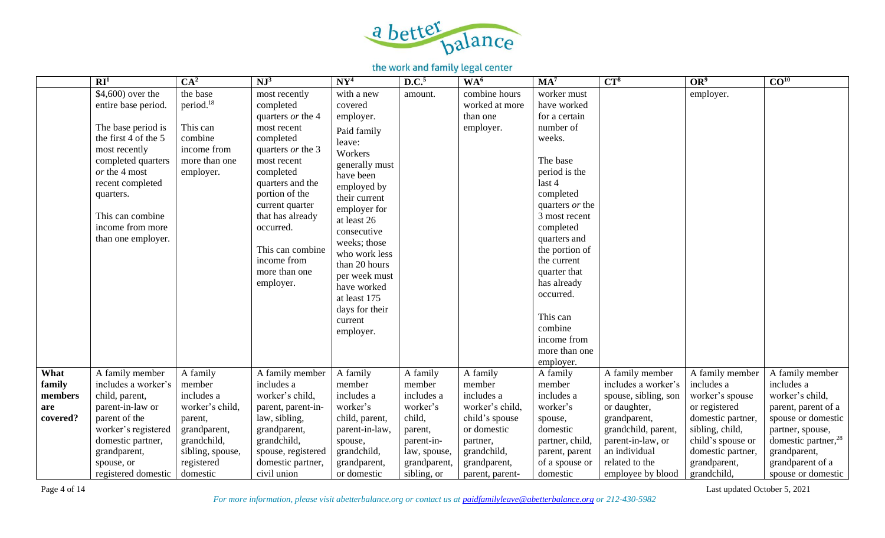

|          | RI <sup>1</sup>      | CA <sup>2</sup>       | $NJ^3$                       | $N Y^4$        | D.C. <sup>5</sup> | WA <sup>6</sup> | MA <sup>7</sup>             | $CT^8$               | OR <sup>9</sup>   | CO <sup>10</sup>                |
|----------|----------------------|-----------------------|------------------------------|----------------|-------------------|-----------------|-----------------------------|----------------------|-------------------|---------------------------------|
|          | \$4,600) over the    | the base              | most recently                | with a new     | amount.           | combine hours   | worker must                 |                      | employer.         |                                 |
|          | entire base period.  | period. <sup>18</sup> | completed                    | covered        |                   | worked at more  | have worked                 |                      |                   |                                 |
|          |                      |                       | quarters or the 4            | employer.      |                   | than one        | for a certain               |                      |                   |                                 |
|          | The base period is   | This can              | most recent                  | Paid family    |                   | employer.       | number of                   |                      |                   |                                 |
|          | the first 4 of the 5 | combine               | completed                    | leave:         |                   |                 | weeks.                      |                      |                   |                                 |
|          | most recently        | income from           | quarters or the 3            | Workers        |                   |                 |                             |                      |                   |                                 |
|          | completed quarters   | more than one         | most recent                  | generally must |                   |                 | The base                    |                      |                   |                                 |
|          | or the 4 most        | employer.             | completed                    | have been      |                   |                 | period is the               |                      |                   |                                 |
|          | recent completed     |                       | quarters and the             | employed by    |                   |                 | last 4                      |                      |                   |                                 |
|          | quarters.            |                       | portion of the               | their current  |                   |                 | completed                   |                      |                   |                                 |
|          |                      |                       | current quarter              | employer for   |                   |                 | quarters <i>or</i> the      |                      |                   |                                 |
|          | This can combine     |                       | that has already             | at least 26    |                   |                 | 3 most recent               |                      |                   |                                 |
|          | income from more     |                       | occurred.                    | consecutive    |                   |                 | completed                   |                      |                   |                                 |
|          | than one employer.   |                       |                              | weeks; those   |                   |                 | quarters and                |                      |                   |                                 |
|          |                      |                       | This can combine             | who work less  |                   |                 | the portion of              |                      |                   |                                 |
|          |                      |                       | income from<br>more than one | than 20 hours  |                   |                 | the current                 |                      |                   |                                 |
|          |                      |                       |                              | per week must  |                   |                 | quarter that<br>has already |                      |                   |                                 |
|          |                      |                       | employer.                    | have worked    |                   |                 | occurred.                   |                      |                   |                                 |
|          |                      |                       |                              | at least 175   |                   |                 |                             |                      |                   |                                 |
|          |                      |                       |                              | days for their |                   |                 | This can                    |                      |                   |                                 |
|          |                      |                       |                              | current        |                   |                 | combine                     |                      |                   |                                 |
|          |                      |                       |                              | employer.      |                   |                 | income from                 |                      |                   |                                 |
|          |                      |                       |                              |                |                   |                 | more than one               |                      |                   |                                 |
|          |                      |                       |                              |                |                   |                 | employer.                   |                      |                   |                                 |
| What     | A family member      | A family              | A family member              | A family       | A family          | A family        | A family                    | A family member      | A family member   | A family member                 |
| family   | includes a worker's  | member                | includes a                   | member         | member            | member          | member                      | includes a worker's  | includes a        | includes a                      |
| members  | child, parent,       | includes a            | worker's child,              | includes a     | includes a        | includes a      | includes a                  | spouse, sibling, son | worker's spouse   | worker's child,                 |
| are      | parent-in-law or     | worker's child,       | parent, parent-in-           | worker's       | worker's          | worker's child, | worker's                    | or daughter,         | or registered     | parent, parent of a             |
| covered? | parent of the        | parent,               | law, sibling,                | child, parent, | child,            | child's spouse  | spouse,                     | grandparent,         | domestic partner, | spouse or domestic              |
|          | worker's registered  | grandparent,          | grandparent,                 | parent-in-law, | parent,           | or domestic     | domestic                    | grandchild, parent,  | sibling, child,   | partner, spouse,                |
|          | domestic partner,    | grandchild,           | grandchild,                  | spouse,        | parent-in-        | partner,        | partner, child,             | parent-in-law, or    | child's spouse or | domestic partner, <sup>28</sup> |
|          | grandparent,         | sibling, spouse,      | spouse, registered           | grandchild,    | law, spouse,      | grandchild,     | parent, parent              | an individual        | domestic partner, | grandparent,                    |
|          | spouse, or           | registered            | domestic partner,            | grandparent,   | grandparent       | grandparent,    | of a spouse or              | related to the       | grandparent,      | grandparent of a                |
|          | registered domestic  | domestic              | civil union                  | or domestic    | sibling, or       | parent, parent- | domestic                    | employee by blood    | grandchild,       | spouse or domestic              |

*For more information, please visit abetterbalance.org or contact us at [paidfamilyleave@abetterbalance.org](mailto:paidfamilyleave@abetterbalance.org) or 212-430-5982* 

Page 4 of 14 Last updated October 5, 2021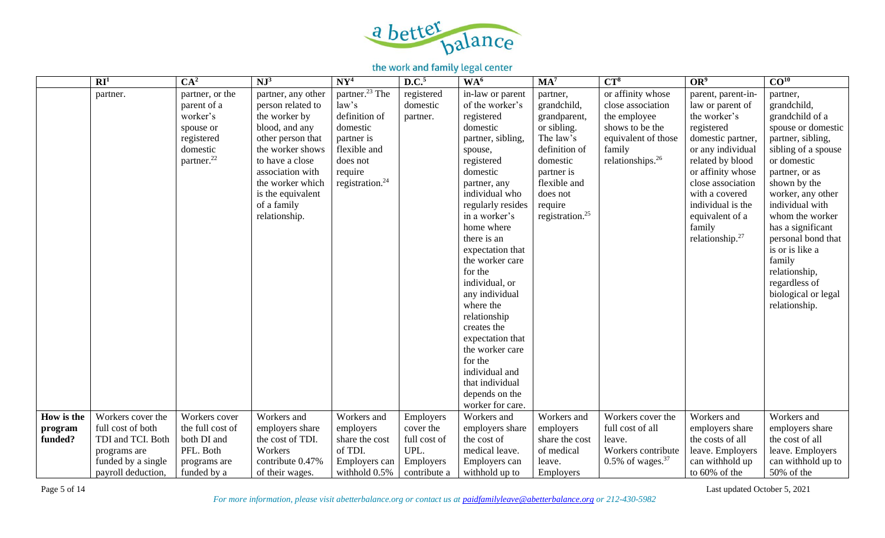

|            | $\mathbf{R}$ $\mathbf{I}^1$ | CA <sup>2</sup>        | $NJ^3$                       | NY <sup>4</sup>             | D.C. <sup>5</sup> | WA <sup>6</sup>                    | $MA^7$                      | $CT^8$                          | OR <sup>9</sup>                     | $\overline{CO^{10}}$                 |
|------------|-----------------------------|------------------------|------------------------------|-----------------------------|-------------------|------------------------------------|-----------------------------|---------------------------------|-------------------------------------|--------------------------------------|
|            | partner.                    | partner, or the        | partner, any other           | partner. <sup>23</sup> The  | registered        | in-law or parent                   | partner,                    | or affinity whose               | parent, parent-in-                  | partner,                             |
|            |                             | parent of a            | person related to            | law's                       | domestic          | of the worker's                    | grandchild,                 | close association               | law or parent of                    | grandchild,                          |
|            |                             | worker's               | the worker by                | definition of               | partner.          | registered                         | grandparent,                | the employee                    | the worker's                        | grandchild of a                      |
|            |                             | spouse or              | blood, and any               | domestic                    |                   | domestic                           | or sibling.                 | shows to be the                 | registered                          | spouse or domestic                   |
|            |                             | registered             | other person that            | partner is                  |                   | partner, sibling,                  | The law's                   | equivalent of those             | domestic partner,                   | partner, sibling,                    |
|            |                             | domestic               | the worker shows             | flexible and                |                   | spouse,                            | definition of               | family                          | or any individual                   | sibling of a spouse                  |
|            |                             | partner. <sup>22</sup> | to have a close              | does not                    |                   | registered                         | domestic                    | relationships. <sup>26</sup>    | related by blood                    | or domestic                          |
|            |                             |                        | association with             | require                     |                   | domestic                           | partner is                  |                                 | or affinity whose                   | partner, or as                       |
|            |                             |                        | the worker which             | registration. <sup>24</sup> |                   | partner, any                       | flexible and                |                                 | close association                   | shown by the                         |
|            |                             |                        | is the equivalent            |                             |                   | individual who                     | does not<br>require         |                                 | with a covered<br>individual is the | worker, any other<br>individual with |
|            |                             |                        | of a family<br>relationship. |                             |                   | regularly resides<br>in a worker's | registration. <sup>25</sup> |                                 | equivalent of a                     | whom the worker                      |
|            |                             |                        |                              |                             |                   | home where                         |                             |                                 | family                              | has a significant                    |
|            |                             |                        |                              |                             |                   | there is an                        |                             |                                 | relationship. <sup>27</sup>         | personal bond that                   |
|            |                             |                        |                              |                             |                   | expectation that                   |                             |                                 |                                     | is or is like a                      |
|            |                             |                        |                              |                             |                   | the worker care                    |                             |                                 |                                     | family                               |
|            |                             |                        |                              |                             |                   | for the                            |                             |                                 |                                     | relationship,                        |
|            |                             |                        |                              |                             |                   | individual, or                     |                             |                                 |                                     | regardless of                        |
|            |                             |                        |                              |                             |                   | any individual                     |                             |                                 |                                     | biological or legal                  |
|            |                             |                        |                              |                             |                   | where the                          |                             |                                 |                                     | relationship.                        |
|            |                             |                        |                              |                             |                   | relationship                       |                             |                                 |                                     |                                      |
|            |                             |                        |                              |                             |                   | creates the                        |                             |                                 |                                     |                                      |
|            |                             |                        |                              |                             |                   | expectation that                   |                             |                                 |                                     |                                      |
|            |                             |                        |                              |                             |                   | the worker care                    |                             |                                 |                                     |                                      |
|            |                             |                        |                              |                             |                   | for the                            |                             |                                 |                                     |                                      |
|            |                             |                        |                              |                             |                   | individual and                     |                             |                                 |                                     |                                      |
|            |                             |                        |                              |                             |                   | that individual                    |                             |                                 |                                     |                                      |
|            |                             |                        |                              |                             |                   | depends on the<br>worker for care. |                             |                                 |                                     |                                      |
| How is the | Workers cover the           | Workers cover          | Workers and                  | Workers and                 | Employers         | Workers and                        | Workers and                 | Workers cover the               | Workers and                         | Workers and                          |
| program    | full cost of both           | the full cost of       | employers share              | employers                   | cover the         | employers share                    | employers                   | full cost of all                | employers share                     | employers share                      |
| funded?    | TDI and TCI. Both           | both DI and            | the cost of TDI.             | share the cost              | full cost of      | the cost of                        | share the cost              | leave.                          | the costs of all                    | the cost of all                      |
|            | programs are                | PFL. Both              | Workers                      | of TDI.                     | UPL.              | medical leave.                     | of medical                  | Workers contribute              | leave. Employers                    | leave. Employers                     |
|            | funded by a single          | programs are           | contribute 0.47%             | Employers can               | Employers         | Employers can                      | leave.                      | $0.5\%$ of wages. <sup>37</sup> | can withhold up                     | can withhold up to                   |
|            | payroll deduction,          | funded by a            | of their wages.              | withhold 0.5%               | contribute a      | withhold up to                     | Employers                   |                                 | to 60% of the                       | 50% of the                           |

Page 5 of 14 Last updated October 5, 2021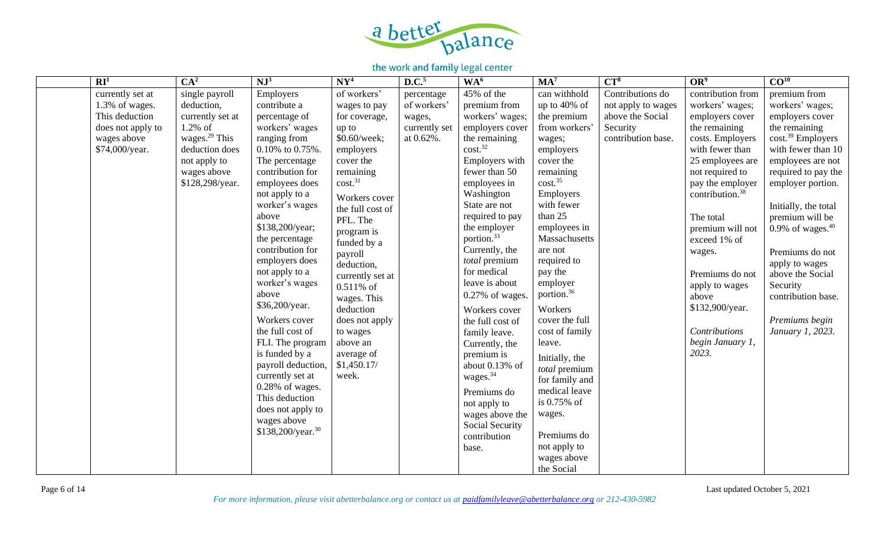

| RI <sup>1</sup>   | CA <sup>2</sup>           | $NJ^3$                        | $N Y^4$             | D.C. <sup>5</sup> | WA <sup>6</sup>        | MA <sup>7</sup>        | $CT^8$             | OR <sup>9</sup>             | CO <sup>10</sup>              |
|-------------------|---------------------------|-------------------------------|---------------------|-------------------|------------------------|------------------------|--------------------|-----------------------------|-------------------------------|
| currently set at  | single payroll            | Employers                     | of workers'         | percentage        | 45% of the             | can withhold           | Contributions do   | contribution from           | premium from                  |
| 1.3% of wages.    | deduction,                | contribute a                  | wages to pay        | of workers'       | premium from           | up to $40\%$ of        | not apply to wages | workers' wages;             | workers' wages;               |
| This deduction    | currently set at          | percentage of                 | for coverage,       | wages,            | workers' wages;        | the premium            | above the Social   | employers cover             | employers cover               |
| does not apply to | $1.2\%$ of                | workers' wages                | up to               | currently set     | employers cover        | from workers'          | Security           | the remaining               | the remaining                 |
| wages above       | wages. <sup>29</sup> This | ranging from                  | \$0.60/week;        | at 0.62%.         | the remaining          | wages;                 | contribution base. | costs. Employers            | cost. <sup>39</sup> Employers |
| \$74,000/year.    | deduction does            | 0.10% to 0.75%.               | employers           |                   | cost. <sup>32</sup>    | employers              |                    | with fewer than             | with fewer than 10            |
|                   | not apply to              | The percentage                | cover the           |                   | Employers with         | cover the              |                    | 25 employees are            | employees are not             |
|                   | wages above               | contribution for              | remaining           |                   | fewer than 50          | remaining              |                    | not required to             | required to pay the           |
|                   | \$128,298/year.           | employees does                | cost. <sup>31</sup> |                   | employees in           | cost. <sup>35</sup>    |                    | pay the employer            | employer portion.             |
|                   |                           | not apply to a                | Workers cover       |                   | Washington             | Employers              |                    | contribution. <sup>38</sup> |                               |
|                   |                           | worker's wages                | the full cost of    |                   | State are not          | with fewer             |                    |                             | Initially, the total          |
|                   |                           | above                         | PFL. The            |                   | required to pay        | than 25                |                    | The total                   | premium will be               |
|                   |                           | \$138,200/year;               | program is          |                   | the employer           | employees in           |                    | premium will not            | 0.9% of wages. $40$           |
|                   |                           | the percentage                | funded by a         |                   | portion. <sup>33</sup> | Massachusetts          |                    | exceed 1% of                |                               |
|                   |                           | contribution for              | payroll             |                   | Currently, the         | are not                |                    | wages.                      | Premiums do not               |
|                   |                           | employers does                | deduction,          |                   | total premium          | required to            |                    |                             | apply to wages                |
|                   |                           | not apply to a                | currently set at    |                   | for medical            | pay the                |                    | Premiums do not             | above the Social              |
|                   |                           | worker's wages                | 0.511% of           |                   | leave is about         | employer               |                    | apply to wages              | Security                      |
|                   |                           | above                         | wages. This         |                   | $0.27\%$ of wages.     | portion. <sup>36</sup> |                    | above                       | contribution base.            |
|                   |                           | \$36,200/year.                | deduction           |                   | Workers cover          | Workers                |                    | \$132,900/year.             |                               |
|                   |                           | Workers cover                 | does not apply      |                   | the full cost of       | cover the full         |                    |                             | Premiums begin                |
|                   |                           | the full cost of              | to wages            |                   | family leave.          | cost of family         |                    | <b>Contributions</b>        | January 1, 2023.              |
|                   |                           | FLI. The program              | above an            |                   | Currently, the         | leave.                 |                    | begin January 1,            |                               |
|                   |                           | is funded by a                | average of          |                   | premium is             | Initially, the         |                    | 2023.                       |                               |
|                   |                           | payroll deduction,            | \$1,450.17/         |                   | about 0.13% of         | total premium          |                    |                             |                               |
|                   |                           | currently set at              | week.               |                   | wages. <sup>34</sup>   | for family and         |                    |                             |                               |
|                   |                           | $0.28\%$ of wages.            |                     |                   | Premiums do            | medical leave          |                    |                             |                               |
|                   |                           | This deduction                |                     |                   | not apply to           | is 0.75% of            |                    |                             |                               |
|                   |                           | does not apply to             |                     |                   | wages above the        | wages.                 |                    |                             |                               |
|                   |                           | wages above                   |                     |                   | <b>Social Security</b> |                        |                    |                             |                               |
|                   |                           | \$138,200/year. <sup>30</sup> |                     |                   | contribution           | Premiums do            |                    |                             |                               |
|                   |                           |                               |                     |                   | base.                  | not apply to           |                    |                             |                               |
|                   |                           |                               |                     |                   |                        | wages above            |                    |                             |                               |
|                   |                           |                               |                     |                   |                        | the Social             |                    |                             |                               |

Page 6 of 14 Last updated October 5, 2021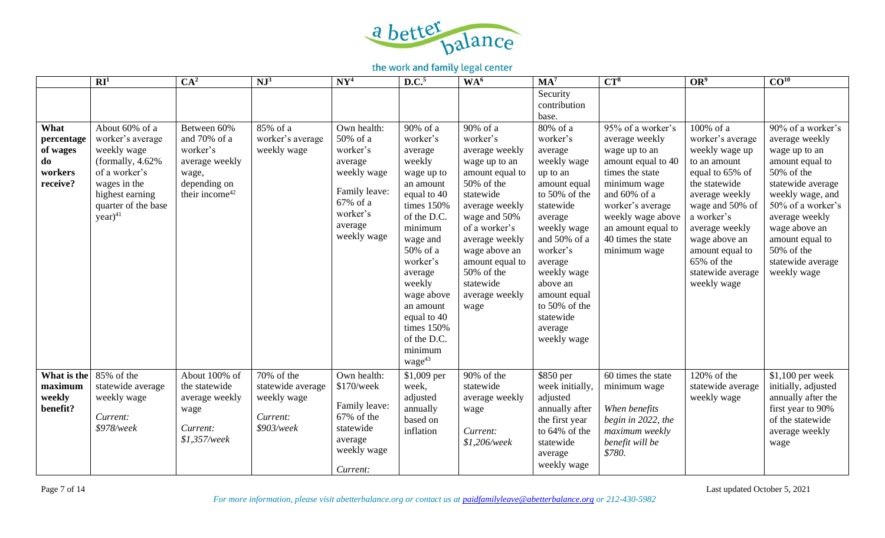

|                                                             | RI <sup>1</sup>                                                                                                                                                    | CA <sup>2</sup>                                                                                                  | $NJ^3$                                                                      | NY <sup>4</sup>                                                                                                                  | D.C. <sup>5</sup>                                                                                                                                                                                                                                                                            | WA <sup>6</sup>                                                                                                                                                                                                                                                     | $MA^7$                                                                                                                                                                                                                                                                       | $CT^8$                                                                                                                                                                                                                                           | OR <sup>9</sup>                                                                                                                                                                                                                                                | CO <sup>10</sup>                                                                                                                                                                                                                                            |
|-------------------------------------------------------------|--------------------------------------------------------------------------------------------------------------------------------------------------------------------|------------------------------------------------------------------------------------------------------------------|-----------------------------------------------------------------------------|----------------------------------------------------------------------------------------------------------------------------------|----------------------------------------------------------------------------------------------------------------------------------------------------------------------------------------------------------------------------------------------------------------------------------------------|---------------------------------------------------------------------------------------------------------------------------------------------------------------------------------------------------------------------------------------------------------------------|------------------------------------------------------------------------------------------------------------------------------------------------------------------------------------------------------------------------------------------------------------------------------|--------------------------------------------------------------------------------------------------------------------------------------------------------------------------------------------------------------------------------------------------|----------------------------------------------------------------------------------------------------------------------------------------------------------------------------------------------------------------------------------------------------------------|-------------------------------------------------------------------------------------------------------------------------------------------------------------------------------------------------------------------------------------------------------------|
|                                                             |                                                                                                                                                                    |                                                                                                                  |                                                                             |                                                                                                                                  |                                                                                                                                                                                                                                                                                              |                                                                                                                                                                                                                                                                     | Security<br>contribution<br>base.                                                                                                                                                                                                                                            |                                                                                                                                                                                                                                                  |                                                                                                                                                                                                                                                                |                                                                                                                                                                                                                                                             |
| What<br>percentage<br>of wages<br>do<br>workers<br>receive? | About 60% of a<br>worker's average<br>weekly wage<br>(formally, $4.62%$<br>of a worker's<br>wages in the<br>highest earning<br>quarter of the base<br>$year)^{41}$ | Between 60%<br>and 70% of a<br>worker's<br>average weekly<br>wage,<br>depending on<br>their income <sup>42</sup> | 85% of a<br>worker's average<br>weekly wage                                 | Own health:<br>50% of a<br>worker's<br>average<br>weekly wage<br>Family leave:<br>67% of a<br>worker's<br>average<br>weekly wage | 90% of a<br>worker's<br>average<br>weekly<br>wage up to<br>an amount<br>equal to 40<br>times 150%<br>of the D.C.<br>minimum<br>wage and<br>50% of a<br>worker's<br>average<br>weekly<br>wage above<br>an amount<br>equal to 40<br>times 150%<br>of the D.C.<br>minimum<br>wage <sup>43</sup> | 90% of a<br>worker's<br>average weekly<br>wage up to an<br>amount equal to<br>50% of the<br>statewide<br>average weekly<br>wage and 50%<br>of a worker's<br>average weekly<br>wage above an<br>amount equal to<br>50% of the<br>statewide<br>average weekly<br>wage | 80% of a<br>worker's<br>average<br>weekly wage<br>up to an<br>amount equal<br>to 50% of the<br>statewide<br>average<br>weekly wage<br>and 50% of a<br>worker's<br>average<br>weekly wage<br>above an<br>amount equal<br>to 50% of the<br>statewide<br>average<br>weekly wage | $\overline{95\%}$ of a worker's<br>average weekly<br>wage up to an<br>amount equal to 40<br>times the state<br>minimum wage<br>and 60% of a<br>worker's average<br>weekly wage above<br>an amount equal to<br>40 times the state<br>minimum wage | 100% of a<br>worker's average<br>weekly wage up<br>to an amount<br>equal to 65% of<br>the statewide<br>average weekly<br>wage and 50% of<br>a worker's<br>average weekly<br>wage above an<br>amount equal to<br>65% of the<br>statewide average<br>weekly wage | 90% of a worker's<br>average weekly<br>wage up to an<br>amount equal to<br>50% of the<br>statewide average<br>weekly wage, and<br>50% of a worker's<br>average weekly<br>wage above an<br>amount equal to<br>50% of the<br>statewide average<br>weekly wage |
| What is the<br>maximum<br>weekly<br>benefit?                | 85% of the<br>statewide average<br>weekly wage<br>Current:<br>\$978/week                                                                                           | About 100% of<br>the statewide<br>average weekly<br>wage<br>Current:<br>$$1,357$ /week                           | $70\%$ of the<br>statewide average<br>weekly wage<br>Current:<br>\$903/week | Own health:<br>\$170/week<br>Family leave:<br>67% of the<br>statewide<br>average<br>weekly wage<br>Current:                      | \$1,009 per<br>week,<br>adjusted<br>annually<br>based on<br>inflation                                                                                                                                                                                                                        | 90% of the<br>statewide<br>average weekly<br>wage<br>Current:<br>$$1,206$ /week                                                                                                                                                                                     | \$850 per<br>week initially,<br>adjusted<br>annually after<br>the first year<br>to 64% of the<br>statewide<br>average<br>weekly wage                                                                                                                                         | 60 times the state<br>minimum wage<br>When benefits<br>begin in 2022, the<br>maximum weekly<br>benefit will be<br>\$780.                                                                                                                         | 120% of the<br>statewide average<br>weekly wage                                                                                                                                                                                                                | $$1,100$ per week<br>initially, adjusted<br>annually after the<br>first year to 90%<br>of the statewide<br>average weekly<br>wage                                                                                                                           |

Page 7 of 14 Last updated October 5, 2021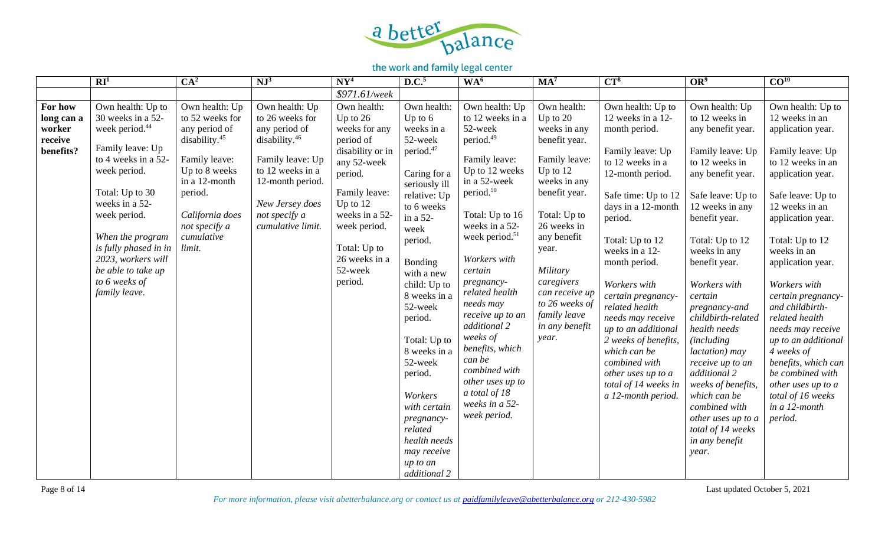

|                                                         | $\mathbf{R} \mathbf{I}^1$                                                                                                                                                                                                                                                                                       | CA <sup>2</sup>                                                                                                                                                                                           | $NJ^3$                                                                                                                                                                                               | $N Y^4$                                                                                                                                                                                                                       | D.C. <sup>5</sup>                                                                                                                                                                                                                                                                                                                                                                                                            | WA <sup>6</sup>                                                                                                                                                                                                                                                                                                                                                                                                                                                    | MA <sup>7</sup>                                                                                                                                                                                                                                                                            | $CT^8$                                                                                                                                                                                                                                                                                                                                                                                                                                                             | OR <sup>9</sup>                                                                                                                                                                                                                                                                                                                                                                                                                                                                                                   | $\overline{CO^{10}}$                                                                                                                                                                                                                                                                                                                                                                                                                                                                             |
|---------------------------------------------------------|-----------------------------------------------------------------------------------------------------------------------------------------------------------------------------------------------------------------------------------------------------------------------------------------------------------------|-----------------------------------------------------------------------------------------------------------------------------------------------------------------------------------------------------------|------------------------------------------------------------------------------------------------------------------------------------------------------------------------------------------------------|-------------------------------------------------------------------------------------------------------------------------------------------------------------------------------------------------------------------------------|------------------------------------------------------------------------------------------------------------------------------------------------------------------------------------------------------------------------------------------------------------------------------------------------------------------------------------------------------------------------------------------------------------------------------|--------------------------------------------------------------------------------------------------------------------------------------------------------------------------------------------------------------------------------------------------------------------------------------------------------------------------------------------------------------------------------------------------------------------------------------------------------------------|--------------------------------------------------------------------------------------------------------------------------------------------------------------------------------------------------------------------------------------------------------------------------------------------|--------------------------------------------------------------------------------------------------------------------------------------------------------------------------------------------------------------------------------------------------------------------------------------------------------------------------------------------------------------------------------------------------------------------------------------------------------------------|-------------------------------------------------------------------------------------------------------------------------------------------------------------------------------------------------------------------------------------------------------------------------------------------------------------------------------------------------------------------------------------------------------------------------------------------------------------------------------------------------------------------|--------------------------------------------------------------------------------------------------------------------------------------------------------------------------------------------------------------------------------------------------------------------------------------------------------------------------------------------------------------------------------------------------------------------------------------------------------------------------------------------------|
|                                                         |                                                                                                                                                                                                                                                                                                                 |                                                                                                                                                                                                           |                                                                                                                                                                                                      | \$971.61/week                                                                                                                                                                                                                 |                                                                                                                                                                                                                                                                                                                                                                                                                              |                                                                                                                                                                                                                                                                                                                                                                                                                                                                    |                                                                                                                                                                                                                                                                                            |                                                                                                                                                                                                                                                                                                                                                                                                                                                                    |                                                                                                                                                                                                                                                                                                                                                                                                                                                                                                                   |                                                                                                                                                                                                                                                                                                                                                                                                                                                                                                  |
| For how<br>long can a<br>worker<br>receive<br>benefits? | Own health: Up to<br>30 weeks in a 52-<br>week period. <sup>44</sup><br>Family leave: Up<br>to 4 weeks in a 52-<br>week period.<br>Total: Up to 30<br>weeks in a 52-<br>week period.<br>When the program<br>is fully phased in in<br>2023, workers will<br>be able to take up<br>to 6 weeks of<br>family leave. | Own health: Up<br>to 52 weeks for<br>any period of<br>disability. <sup>45</sup><br>Family leave:<br>Up to 8 weeks<br>in a 12-month<br>period.<br>California does<br>not specify a<br>cumulative<br>limit. | Own health: Up<br>to 26 weeks for<br>any period of<br>disability. <sup>46</sup><br>Family leave: Up<br>to 12 weeks in a<br>12-month period.<br>New Jersey does<br>not specify a<br>cumulative limit. | Own health:<br>Up to $26$<br>weeks for any<br>period of<br>disability or in<br>any 52-week<br>period.<br>Family leave:<br>Up to $12$<br>weeks in a 52-<br>week period.<br>Total: Up to<br>26 weeks in a<br>52-week<br>period. | Own health:<br>Up to $6$<br>weeks in a<br>52-week<br>period. <sup>47</sup><br>Caring for a<br>seriously ill<br>relative: Up<br>to 6 weeks<br>in a 52-<br>week<br>period.<br>Bonding<br>with a new<br>child: Up to<br>8 weeks in a<br>52-week<br>period.<br>Total: Up to<br>8 weeks in a<br>52-week<br>period.<br>Workers<br>with certain<br>pregnancy-<br>related<br>health needs<br>may receive<br>up to an<br>additional 2 | Own health: Up<br>to 12 weeks in a<br>52-week<br>period. <sup>49</sup><br>Family leave:<br>Up to 12 weeks<br>in a 52-week<br>period. <sup>50</sup><br>Total: Up to 16<br>weeks in a 52-<br>week period. <sup>51</sup><br>Workers with<br>certain<br>pregnancy-<br>related health<br>needs may<br>receive up to an<br>additional 2<br>weeks of<br>benefits, which<br>can be<br>combined with<br>other uses up to<br>a total of 18<br>weeks in a 52-<br>week period. | Own health:<br>Up to $20$<br>weeks in any<br>benefit year.<br>Family leave:<br>Up to $12$<br>weeks in any<br>benefit year.<br>Total: Up to<br>26 weeks in<br>any benefit<br>year.<br>Military<br>caregivers<br>can receive up<br>to 26 weeks of<br>family leave<br>in any benefit<br>year. | Own health: Up to<br>12 weeks in a 12-<br>month period.<br>Family leave: Up<br>to 12 weeks in a<br>12-month period.<br>Safe time: Up to 12<br>days in a 12-month<br>period.<br>Total: Up to 12<br>weeks in a 12-<br>month period.<br>Workers with<br>certain pregnancy-<br>related health<br>needs may receive<br>up to an additional<br>2 weeks of benefits,<br>which can be<br>combined with<br>other uses up to a<br>total of 14 weeks in<br>a 12-month period. | Own health: Up<br>to 12 weeks in<br>any benefit year.<br>Family leave: Up<br>to 12 weeks in<br>any benefit year.<br>Safe leave: Up to<br>12 weeks in any<br>benefit year.<br>Total: Up to 12<br>weeks in any<br>benefit year.<br>Workers with<br>certain<br>pregnancy-and<br>childbirth-related<br>health needs<br>(including)<br>lactation) may<br>receive up to an<br>additional 2<br>weeks of benefits,<br>which can be<br>combined with<br>other uses up to a<br>total of 14 weeks<br>in any benefit<br>year. | Own health: Up to<br>12 weeks in an<br>application year.<br>Family leave: Up<br>to 12 weeks in an<br>application year.<br>Safe leave: Up to<br>12 weeks in an<br>application year.<br>Total: Up to 12<br>weeks in an<br>application year.<br>Workers with<br>certain pregnancy-<br>and childbirth-<br>related health<br>needs may receive<br>up to an additional<br>4 weeks of<br>benefits, which can<br>be combined with<br>other uses up to a<br>total of 16 weeks<br>in a 12-month<br>period. |

Page 8 of 14 Last updated October 5, 2021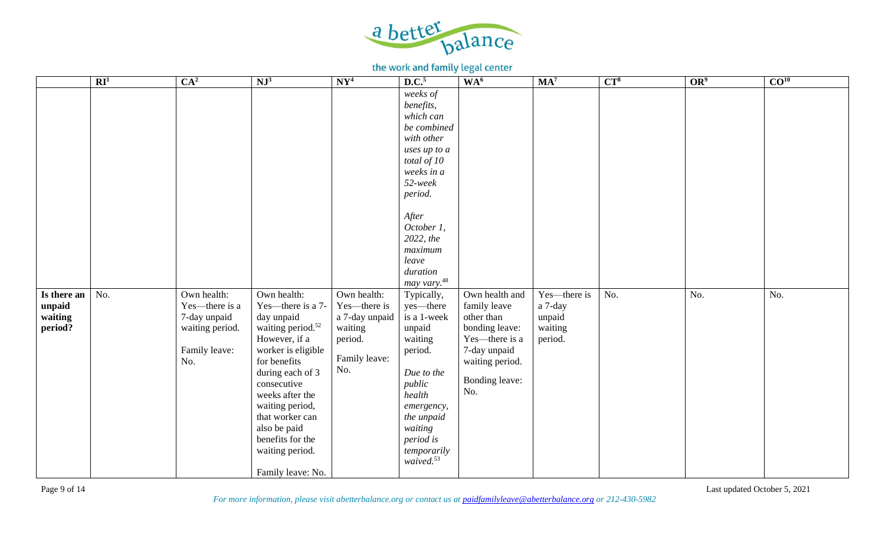

|                                             | $\overline{\mathbb{R}I^1}$ | CA <sup>2</sup>                                                                          | NJ <sup>3</sup>                                                                                                                                                                                                                                                                                                | NY <sup>4</sup>                                                                             | D.C. <sup>5</sup>                                                                                                                                                                                    | WA <sup>6</sup>                                                                                                                              | $MA^7$                                                  | $CT^8$ | OR <sup>9</sup> | $\overline{CO^{10}}$ |
|---------------------------------------------|----------------------------|------------------------------------------------------------------------------------------|----------------------------------------------------------------------------------------------------------------------------------------------------------------------------------------------------------------------------------------------------------------------------------------------------------------|---------------------------------------------------------------------------------------------|------------------------------------------------------------------------------------------------------------------------------------------------------------------------------------------------------|----------------------------------------------------------------------------------------------------------------------------------------------|---------------------------------------------------------|--------|-----------------|----------------------|
|                                             |                            |                                                                                          |                                                                                                                                                                                                                                                                                                                |                                                                                             | weeks of<br>benefits,<br>which can<br>be combined<br>with other<br>uses up to a<br>total of 10<br>weeks in a<br>$52$ -week<br>period.<br>After<br>October 1,<br>2022, the<br>maximum                 |                                                                                                                                              |                                                         |        |                 |                      |
|                                             |                            |                                                                                          |                                                                                                                                                                                                                                                                                                                |                                                                                             | leave<br>duration                                                                                                                                                                                    |                                                                                                                                              |                                                         |        |                 |                      |
|                                             |                            |                                                                                          |                                                                                                                                                                                                                                                                                                                |                                                                                             | may vary. <sup>48</sup>                                                                                                                                                                              |                                                                                                                                              |                                                         |        |                 |                      |
| Is there an<br>unpaid<br>waiting<br>period? | No.                        | Own health:<br>Yes-there is a<br>7-day unpaid<br>waiting period.<br>Family leave:<br>No. | Own health:<br>Yes—there is a 7-<br>day unpaid<br>waiting period. <sup>52</sup><br>However, if a<br>worker is eligible<br>for benefits<br>during each of 3<br>consecutive<br>weeks after the<br>waiting period,<br>that worker can<br>also be paid<br>benefits for the<br>waiting period.<br>Family leave: No. | Own health:<br>Yes-there is<br>a 7-day unpaid<br>waiting<br>period.<br>Family leave:<br>No. | Typically,<br>yes—there<br>is a 1-week<br>unpaid<br>waiting<br>period.<br>Due to the<br>public<br>health<br>emergency,<br>the unpaid<br>waiting<br>period is<br>temporarily<br>waived. <sup>53</sup> | Own health and<br>family leave<br>other than<br>bonding leave:<br>Yes—there is a<br>7-day unpaid<br>waiting period.<br>Bonding leave:<br>No. | Yes-there is<br>a 7-day<br>unpaid<br>waiting<br>period. | No.    | No.             | No.                  |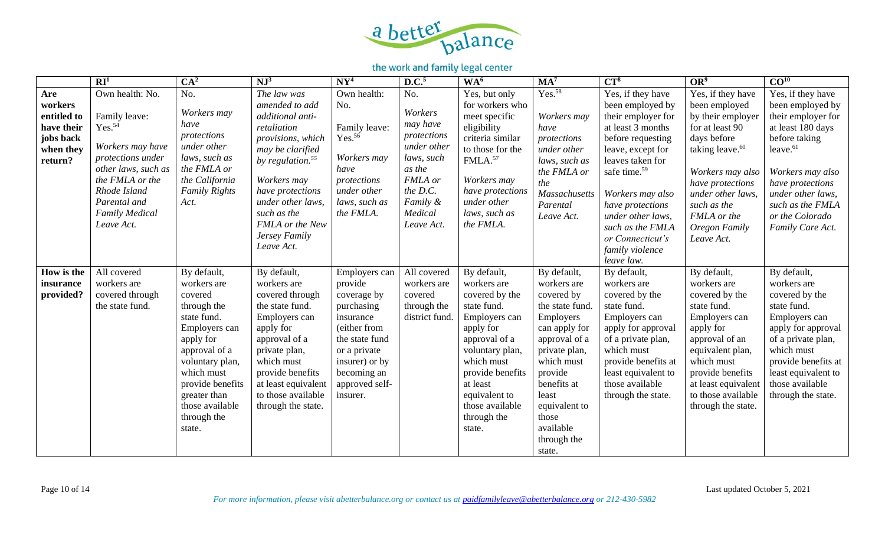

|                                                                                  | $\overline{\mathbf{R}\mathbf{I}^1}$                                                                                                                                                                              | CA <sup>2</sup>                                                                                                                                                                                                                     | $NJ^3$                                                                                                                                                                                                                                                    | $N Y^4$                                                                                                                                                                             | D.C. <sup>5</sup>                                                                                                                            | WA <sup>6</sup>                                                                                                                                                                                                                          | MA <sup>7</sup>                                                                                                                                                                                                                              | $CT^8$                                                                                                                                                                                                                                                                                                           | OR <sup>9</sup>                                                                                                                                                                                                                                    | CO <sup>10</sup>                                                                                                                                                                                                                                  |
|----------------------------------------------------------------------------------|------------------------------------------------------------------------------------------------------------------------------------------------------------------------------------------------------------------|-------------------------------------------------------------------------------------------------------------------------------------------------------------------------------------------------------------------------------------|-----------------------------------------------------------------------------------------------------------------------------------------------------------------------------------------------------------------------------------------------------------|-------------------------------------------------------------------------------------------------------------------------------------------------------------------------------------|----------------------------------------------------------------------------------------------------------------------------------------------|------------------------------------------------------------------------------------------------------------------------------------------------------------------------------------------------------------------------------------------|----------------------------------------------------------------------------------------------------------------------------------------------------------------------------------------------------------------------------------------------|------------------------------------------------------------------------------------------------------------------------------------------------------------------------------------------------------------------------------------------------------------------------------------------------------------------|----------------------------------------------------------------------------------------------------------------------------------------------------------------------------------------------------------------------------------------------------|---------------------------------------------------------------------------------------------------------------------------------------------------------------------------------------------------------------------------------------------------|
| Are<br>workers<br>entitled to<br>have their<br>jobs back<br>when they<br>return? | Own health: No.<br>Family leave:<br>Yes. <sup>54</sup><br>Workers may have<br>protections under<br>other laws, such as<br>the FMLA or the<br>Rhode Island<br>Parental and<br><b>Family Medical</b><br>Leave Act. | No.<br>Workers may<br>have<br>protections<br>under other<br>laws, such as<br>the FMLA or<br>the California<br><b>Family Rights</b><br>Act.                                                                                          | The law was<br>amended to add<br>additional anti-<br>retaliation<br>provisions, which<br>may be clarified<br>by regulation. $55$<br>Workers may<br>have protections<br>under other laws.<br>such as the<br>FMLA or the New<br>Jersey Family<br>Leave Act. | Own health:<br>No.<br>Family leave:<br>Yes. <sup>56</sup><br>Workers may<br>have<br>protections<br>under other<br>laws, such as<br>the FMLA.                                        | No.<br>Workers<br>may have<br>protections<br>under other<br>laws, such<br>as the<br>FMLA or<br>the D.C.<br>Family &<br>Medical<br>Leave Act. | Yes, but only<br>for workers who<br>meet specific<br>eligibility<br>criteria similar<br>to those for the<br>FMLA. <sup>57</sup><br>Workers may<br>have protections<br>under other<br>laws, such as<br>the FMLA.                          | Yes. <sup>58</sup><br>Workers may<br>have<br>protections<br>under other<br>laws, such as<br>the FMLA or<br>the<br><b>Massachusetts</b><br>Parental<br>Leave Act.                                                                             | Yes, if they have<br>been employed by<br>their employer for<br>at least 3 months<br>before requesting<br>leave, except for<br>leaves taken for<br>safe time. <sup>59</sup><br>Workers may also<br>have protections<br>under other laws,<br>such as the FMLA<br>or Connecticut's<br>family violence<br>leave law. | Yes, if they have<br>been employed<br>by their employer<br>for at least 90<br>days before<br>taking leave. <sup>60</sup><br>Workers may also<br>have protections<br>under other laws,<br>such as the<br>FMLA or the<br>Oregon Family<br>Leave Act. | Yes, if they have<br>been employed by<br>their employer for<br>at least 180 days<br>before taking<br>leave. <sup>61</sup><br>Workers may also<br>have protections<br>under other laws,<br>such as the FMLA<br>or the Colorado<br>Family Care Act. |
| How is the<br>insurance<br>provided?                                             | All covered<br>workers are<br>covered through<br>the state fund.                                                                                                                                                 | By default,<br>workers are<br>covered<br>through the<br>state fund.<br>Employers can<br>apply for<br>approval of a<br>voluntary plan,<br>which must<br>provide benefits<br>greater than<br>those available<br>through the<br>state. | By default,<br>workers are<br>covered through<br>the state fund.<br>Employers can<br>apply for<br>approval of a<br>private plan,<br>which must<br>provide benefits<br>at least equivalent<br>to those available<br>through the state.                     | Employers can<br>provide<br>coverage by<br>purchasing<br>insurance<br>(either from<br>the state fund<br>or a private<br>insurer) or by<br>becoming an<br>approved self-<br>insurer. | All covered<br>workers are<br>covered<br>through the<br>district fund                                                                        | By default,<br>workers are<br>covered by the<br>state fund.<br>Employers can<br>apply for<br>approval of a<br>voluntary plan,<br>which must<br>provide benefits<br>at least<br>equivalent to<br>those available<br>through the<br>state. | By default,<br>workers are<br>covered by<br>the state fund.<br>Employers<br>can apply for<br>approval of a<br>private plan,<br>which must<br>provide<br>benefits at<br>least<br>equivalent to<br>those<br>available<br>through the<br>state. | By default,<br>workers are<br>covered by the<br>state fund.<br>Employers can<br>apply for approval<br>of a private plan,<br>which must<br>provide benefits at<br>least equivalent to<br>those available<br>through the state.                                                                                    | By default,<br>workers are<br>covered by the<br>state fund.<br>Employers can<br>apply for<br>approval of an<br>equivalent plan,<br>which must<br>provide benefits<br>at least equivalent<br>to those available<br>through the state.               | By default,<br>workers are<br>covered by the<br>state fund.<br>Employers can<br>apply for approval<br>of a private plan,<br>which must<br>provide benefits at<br>least equivalent to<br>those available<br>through the state.                     |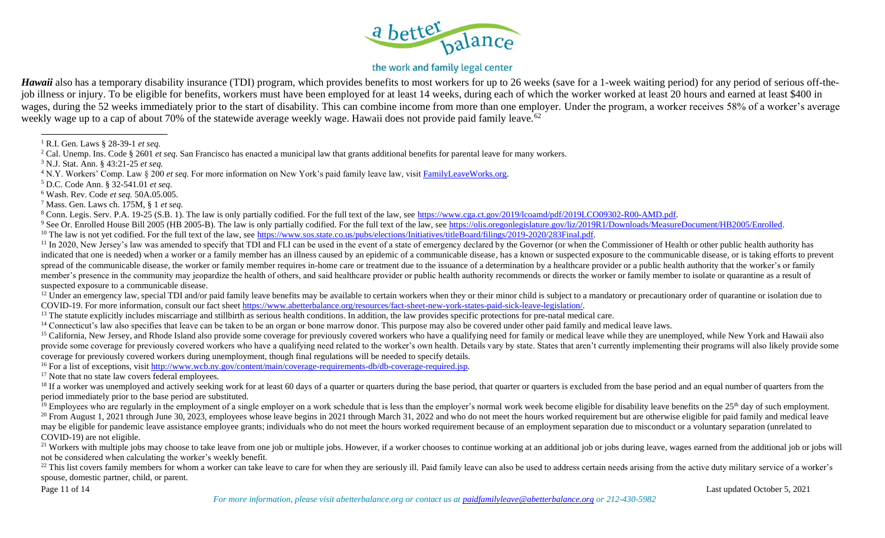

## the work and family legal center

*Hawaii* also has a temporary disability insurance (TDI) program, which provides benefits to most workers for up to 26 weeks (save for a 1-week waiting period) for any period of serious off-thejob illness or injury. To be eligible for benefits, workers must have been employed for at least 14 weeks, during each of which the worker worked at least 20 hours and earned at least \$400 in wages, during the 52 weeks immediately prior to the start of disability. This can combine income from more than one employer. Under the program, a worker receives 58% of a worker's average weekly wage up to a cap of about 70% of the statewide average weekly wage. Hawaii does not provide paid family leave.<sup>62</sup>

<sup>5</sup> D.C. Code Ann. § 32-541.01 *et seq.*

<sup>6</sup> Wash. Rev. Code *et seq.* 50A.05.005.

<sup>7</sup> Mass. Gen. Laws ch. 175M, § 1 *et seq.*

<sup>8</sup> Conn. Legis. Serv. P.A. 19-25 (S.B. 1). The law is only partially codified. For the full text of the law, see [https://www.cga.ct.gov/2019/lcoamd/pdf/2019LCO09302-R00-AMD.pdf.](https://www.cga.ct.gov/2019/lcoamd/pdf/2019LCO09302-R00-AMD.pdf)

<sup>9</sup> See Or. Enrolled House Bill 2005 (HB 2005-B). The law is only partially codified. For the full text of the law, see [https://olis.oregonlegislature.gov/liz/2019R1/Downloads/MeasureDocument/HB2005/Enrolled.](https://olis.oregonlegislature.gov/liz/2019R1/Downloads/MeasureDocument/HB2005/Enrolled)

<sup>10</sup> The law is not yet codified. For the full text of the law, see [https://www.sos.state.co.us/pubs/elections/Initiatives/titleBoard/filings/2019-2020/283Final.pdf.](https://www.sos.state.co.us/pubs/elections/Initiatives/titleBoard/filings/2019-2020/283Final.pdf)

<sup>11</sup> In 2020, New Jersey's law was amended to specify that TDI and FLI can be used in the event of a state of emergency declared by the Governor (or when the Commissioner of Health or other public health authority has indicated that one is needed) when a worker or a family member has an illness caused by an epidemic of a communicable disease, has a known or suspected exposure to the communicable disease, or is taking efforts to prevent spread of the communicable disease, the worker or family member requires in-home care or treatment due to the issuance of a determination by a healthcare provider or a public health authority that the worker's or family member's presence in the community may jeopardize the health of others, and said healthcare provider or public health authority recommends or directs the worker or family member to isolate or quarantine as a result of suspected exposure to a communicable disease.

<sup>12</sup> Under an emergency law, special TDI and/or paid family leave benefits may be available to certain workers when they or their minor child is subject to a mandatory or precautionary order of quarantine or isolation due COVID-19. For more information, consult our fact sheet [https://www.abetterbalance.org/resources/fact-sheet-new-york-states-paid-sick-leave-legislation/.](https://www.abetterbalance.org/resources/fact-sheet-new-york-states-paid-sick-leave-legislation/)

<sup>13</sup> The statute explicitly includes miscarriage and stillbirth as serious health conditions. In addition, the law provides specific protections for pre-natal medical care.

<sup>14</sup> Connecticut's law also specifies that leave can be taken to be an organ or bone marrow donor. This purpose may also be covered under other paid family and medical leave laws.

<sup>15</sup> California, New Jersey, and Rhode Island also provide some coverage for previously covered workers who have a qualifying need for family or medical leave while they are unemployed, while New York and Hawaii also provide some coverage for previously covered workers who have a qualifying need related to the worker's own health. Details vary by state. States that aren't currently implementing their programs will also likely provide s coverage for previously covered workers during unemployment, though final regulations will be needed to specify details.

<sup>16</sup> For a list of exceptions, visit [http://www.wcb.ny.gov/content/main/coverage-requirements-db/db-coverage-required.jsp.](http://www.wcb.ny.gov/content/main/coverage-requirements-db/db-coverage-required.jsp)

<sup>17</sup> Note that no state law covers federal employees.

<sup>18</sup> If a worker was unemployed and actively seeking work for at least 60 days of a quarter or quarters during the base period, that quarter or quarters is excluded from the base period and an equal number of quarters from period immediately prior to the base period are substituted.

 $19$  Employees who are regularly in the employment of a single employer on a work schedule that is less than the employer's normal work week become eligible for disability leave benefits on the 25<sup>th</sup> day of such employme  $^{20}$  From August 1, 2021 through June 30, 2023, employees whose leave begins in 2021 through March 31, 2022 and who do not meet the hours worked requirement but are otherwise eligible for paid family and medical leave may be eligible for pandemic leave assistance employee grants; individuals who do not meet the hours worked requirement because of an employment separation due to misconduct or a voluntary separation (unrelated to COVID-19) are not eligible.

<sup>21</sup> Workers with multiple jobs may choose to take leave from one job or multiple jobs. However, if a worker chooses to continue working at an additional job or jobs during leave, wages earned from the additional job or jo not be considered when calculating the worker's weekly benefit.

<sup>22</sup> This list covers family members for whom a worker can take leave to care for when they are seriously ill. Paid family leave can also be used to address certain needs arising from the active duty military service of a spouse, domestic partner, child, or parent.

<sup>1</sup> R.I. Gen. Laws § 28-39-1 *et seq.*

<sup>&</sup>lt;sup>2</sup> Cal. Unemp. Ins. Code § 2601 *et seq.* San Francisco has enacted a municipal law that grants additional benefits for parental leave for many workers.

<sup>3</sup> N.J. Stat. Ann. § 43:21-25 *et seq.*

<sup>4</sup> N.Y. Workers' Comp. Law § 200 *et seq.* For more information on New York's paid family leave law, visit [FamilyLeaveWorks.org.](https://www.abetterbalance.org/family-leave-works-new-york/)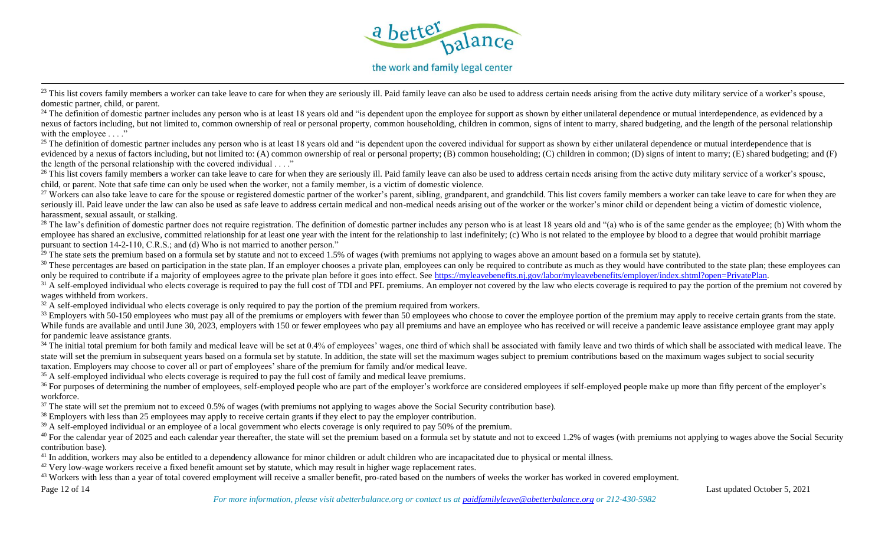

## the work and family legal center

<sup>23</sup> This list covers family members a worker can take leave to care for when they are seriously ill. Paid family leave can also be used to address certain needs arising from the active duty military service of a worker's domestic partner, child, or parent.

 $^{24}$  The definition of domestic partner includes any person who is at least 18 years old and "is dependent upon the employee for support as shown by either unilateral dependence or mutual interdependence, as evidenced b nexus of factors including, but not limited to, common ownership of real or personal property, common householding, children in common, signs of intent to marry, shared budgeting, and the length of the personal relationshi with the employee . . . ."

<sup>25</sup> The definition of domestic partner includes any person who is at least 18 years old and "is dependent upon the covered individual for support as shown by either unilateral dependence or mutual interdependence that is evidenced by a nexus of factors including, but not limited to: (A) common ownership of real or personal property; (B) common householding; (C) children in common; (D) signs of intent to marry; (E) shared budgeting; and (F the length of the personal relationship with the covered individual . . . ."

<sup>26</sup> This list covers family members a worker can take leave to care for when they are seriously ill. Paid family leave can also be used to address certain needs arising from the active duty military service of a worker's child, or parent. Note that safe time can only be used when the worker, not a family member, is a victim of domestic violence.

<sup>27</sup> Workers can also take leave to care for the spouse or registered domestic partner of the worker's parent, sibling, grandparent, and grandchild. This list covers family members a worker can take leave to care for when seriously ill. Paid leave under the law can also be used as safe leave to address certain medical and non-medical needs arising out of the worker or the worker's minor child or dependent being a victim of domestic violence harassment, sexual assault, or stalking.

<sup>28</sup> The law's definition of domestic partner does not require registration. The definition of domestic partner includes any person who is at least 18 years old and "(a) who is of the same gender as the employee; (b) With employee has shared an exclusive, committed relationship for at least one year with the intent for the relationship to last indefinitely; (c) Who is not related to the employee by blood to a degree that would prohibit marr pursuant to section 14-2-110, C.R.S.; and (d) Who is not married to another person."

 $^{29}$  The state sets the premium based on a formula set by statute and not to exceed 1.5% of wages (with premiums not applying to wages above an amount based on a formula set by statute).

<sup>30</sup> These percentages are based on participation in the state plan. If an employer chooses a private plan, employees can only be required to contribute as much as they would have contributed to the state plan; these emplo only be required to contribute if a majority of employees agree to the private plan before it goes into effect. See [https://myleavebenefits.nj.gov/labor/myleavebenefits/employer/index.shtml?open=PrivatePlan.](https://myleavebenefits.nj.gov/labor/myleavebenefits/employer/index.shtml?open=PrivatePlan)

 $31$  A self-employed individual who elects coverage is required to pay the full cost of TDI and PFL premiums. An employer not covered by the law who elects coverage is required to pay the portion of the premium not covere wages withheld from workers.

 $32$  A self-employed individual who elects coverage is only required to pay the portion of the premium required from workers.

<sup>33</sup> Employers with 50-150 employees who must pay all of the premiums or employers with fewer than 50 employees who choose to cover the employee portion of the premium may apply to receive certain grants from the state. While funds are available and until June 30, 2023, employers with 150 or fewer employees who pay all premiums and have an employee who has received or will receive a pandemic leave assistance employee grant may apply for pandemic leave assistance grants.

<sup>34</sup> The initial total premium for both family and medical leave will be set at 0.4% of employees' wages, one third of which shall be associated with family leave and two thirds of which shall be associated with medical le state will set the premium in subsequent years based on a formula set by statute. In addition, the state will set the maximum wages subject to premium contributions based on the maximum wages subject to social security taxation. Employers may choose to cover all or part of employees' share of the premium for family and/or medical leave.

<sup>35</sup> A self-employed individual who elects coverage is required to pay the full cost of family and medical leave premiums.

<sup>36</sup> For purposes of determining the number of employees, self-employed people who are part of the employer's workforce are considered employees if self-employed people make up more than fifty percent of the employer's workforce.

<sup>37</sup> The state will set the premium not to exceed 0.5% of wages (with premiums not applying to wages above the Social Security contribution base).

<sup>38</sup> Employers with less than 25 employees may apply to receive certain grants if they elect to pay the employer contribution.

<sup>39</sup> A self-employed individual or an employee of a local government who elects coverage is only required to pay 50% of the premium.

<sup>40</sup> For the calendar year of 2025 and each calendar year thereafter, the state will set the premium based on a formula set by statute and not to exceed 1.2% of wages (with premiums not applying to wages above the Social S contribution base).

<sup>41</sup> In addition, workers may also be entitled to a dependency allowance for minor children or adult children who are incapacitated due to physical or mental illness.

<sup>42</sup> Very low-wage workers receive a fixed benefit amount set by statute, which may result in higher wage replacement rates.

<sup>43</sup> Workers with less than a year of total covered employment will receive a smaller benefit, pro-rated based on the numbers of weeks the worker has worked in covered employment.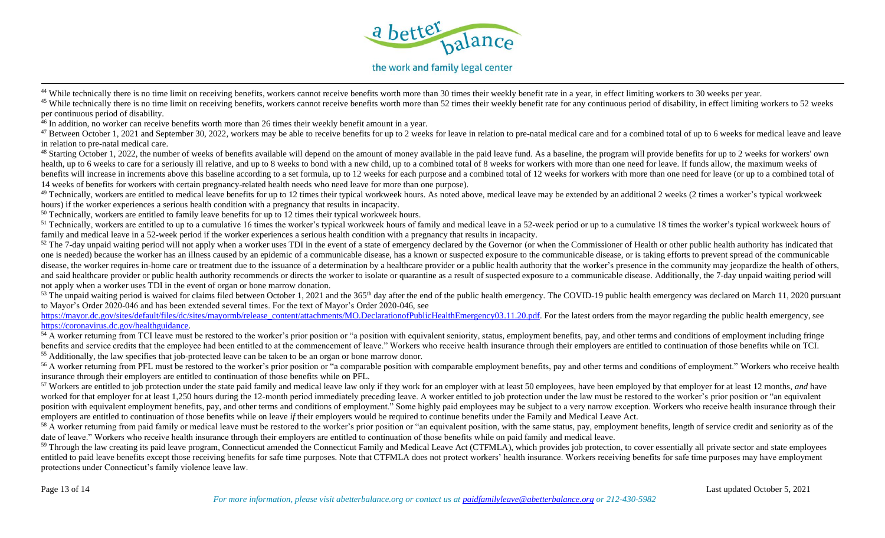

### the work and family legal center

<sup>44</sup> While technically there is no time limit on receiving benefits, workers cannot receive benefits worth more than 30 times their weekly benefit rate in a year, in effect limiting workers to 30 weeks per year.

 $^{45}$  While technically there is no time limit on receiving benefits, workers cannot receive benefits worth more than 52 times their weekly benefit rate for any continuous period of disability, in effect limiting workers per continuous period of disability.

 $\frac{46}{16}$  In addition, no worker can receive benefits worth more than 26 times their weekly benefit amount in a year.

<sup>47</sup> Between October 1, 2021 and September 30, 2022, workers may be able to receive benefits for up to 2 weeks for leave in relation to pre-natal medical care and for a combined total of up to 6 weeks for medical leave and in relation to pre-natal medical care.

<sup>48</sup> Starting October 1, 2022, the number of weeks of benefits available will depend on the amount of money available in the paid leave fund. As a baseline, the program will provide benefits for up to 2 weeks for workers' health, up to 6 weeks to care for a seriously ill relative, and up to 8 weeks to bond with a new child, up to a combined total of 8 weeks for workers with more than one need for leave. If funds allow, the maximum weeks of benefits will increase in increments above this baseline according to a set formula, up to 12 weeks for each purpose and a combined total of 12 weeks for workers with more than one need for leave (or up to a combined total 14 weeks of benefits for workers with certain pregnancy-related health needs who need leave for more than one purpose).

<sup>49</sup> Technically, workers are entitled to medical leave benefits for up to 12 times their typical workweek hours. As noted above, medical leave may be extended by an additional 2 weeks (2 times a worker's typical workweek hours) if the worker experiences a serious health condition with a pregnancy that results in incapacity.

 $50$  Technically, workers are entitled to family leave benefits for up to 12 times their typical workweek hours.

 $51$  Technically, workers are entitled to up to a cumulative 16 times the worker's typical workweek hours of family and medical leave in a 52-week period or up to a cumulative 18 times the worker's typical workweek hours family and medical leave in a 52-week period if the worker experiences a serious health condition with a pregnancy that results in incapacity.

 $52$  The 7-day unpaid waiting period will not apply when a worker uses TDI in the event of a state of emergency declared by the Governor (or when the Commissioner of Health or other public health authority has indicated t one is needed) because the worker has an illness caused by an epidemic of a communicable disease, has a known or suspected exposure to the communicable disease, or is taking efforts to prevent spread of the communicable disease, the worker requires in-home care or treatment due to the issuance of a determination by a healthcare provider or a public health authority that the worker's presence in the community may jeopardize the health of o and said healthcare provider or public health authority recommends or directs the worker to isolate or quarantine as a result of suspected exposure to a communicable disease. Additionally, the 7-day unpaid waiting period w not apply when a worker uses TDI in the event of organ or bone marrow donation.

 $53$  The unpaid waiting period is waived for claims filed between October 1, 2021 and the 365<sup>th</sup> day after the end of the public health emergency. The COVID-19 public health emergency was declared on March 11, 2020 pursu to Mayor's Order 2020-046 and has been extended several times. For the text of Mayor's Order 2020-046, see

[https://mayor.dc.gov/sites/default/files/dc/sites/mayormb/release\\_content/attachments/MO.DeclarationofPublicHealthEmergency03.11.20.pdf.](https://mayor.dc.gov/sites/default/files/dc/sites/mayormb/release_content/attachments/MO.DeclarationofPublicHealthEmergency03.11.20.pdf) For the latest orders from the mayor regarding the public health emergency, see [https://coronavirus.dc.gov/healthguidance.](https://coronavirus.dc.gov/healthguidance)

 $54 \text{ Å}$  worker returning from TCI leave must be restored to the worker's prior position or "a position with equivalent seniority, status, employment benefits, pay, and other terms and conditions of employment including benefits and service credits that the employee had been entitled to at the commencement of leave." Workers who receive health insurance through their employers are entitled to continuation of those benefits while on TCI. <sup>55</sup> Additionally, the law specifies that job-protected leave can be taken to be an organ or bone marrow donor.

<sup>56</sup> A worker returning from PFL must be restored to the worker's prior position or "a comparable position with comparable employment benefits, pay and other terms and conditions of employment." Workers who receive health insurance through their employers are entitled to continuation of those benefits while on PFL.

<sup>57</sup> Workers are entitled to job protection under the state paid family and medical leave law only if they work for an employer with at least 50 employees, have been employed by that employer for at least 12 months, *and* worked for that employer for at least 1,250 hours during the 12-month period immediately preceding leave. A worker entitled to job protection under the law must be restored to the worker's prior position or "an equivalent" position with equivalent employment benefits, pay, and other terms and conditions of employment." Some highly paid employees may be subject to a very narrow exception. Workers who receive health insurance through their employers are entitled to continuation of those benefits while on leave *if* their employers would be required to continue benefits under the Family and Medical Leave Act.

<sup>58</sup> A worker returning from paid family or medical leave must be restored to the worker's prior position or "an equivalent position, with the same status, pay, employment benefits, length of service credit and seniority a date of leave." Workers who receive health insurance through their employers are entitled to continuation of those benefits while on paid family and medical leave.

<sup>59</sup> Through the law creating its paid leave program, Connecticut amended the Connecticut Family and Medical Leave Act (CTFMLA), which provides job protection, to cover essentially all private sector and state employees entitled to paid leave benefits except those receiving benefits for safe time purposes. Note that CTFMLA does not protect workers' health insurance. Workers receiving benefits for safe time purposes may have employment protections under Connecticut's family violence leave law.